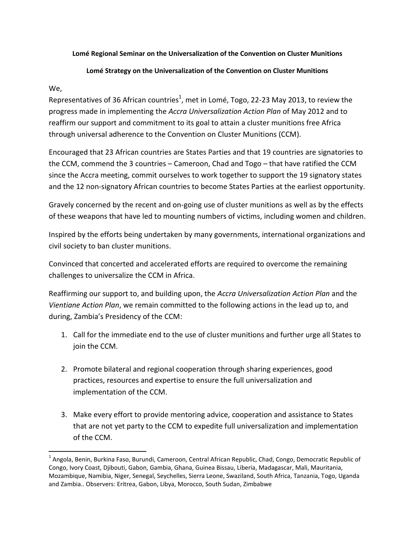## **Lomé Regional Seminar on the Universalization of the Convention on Cluster Munitions**

## **Lomé Strategy on the Universalization of the Convention on Cluster Munitions**

## We,

 $\overline{a}$ 

Representatives of 36 African countries<sup>1</sup>, met in Lomé, Togo, 22-23 May 2013, to review the progress made in implementing the *Accra Universalization Action Plan* of May 2012 and to reaffirm our support and commitment to its goal to attain a cluster munitions free Africa through universal adherence to the Convention on Cluster Munitions (CCM).

Encouraged that 23 African countries are States Parties and that 19 countries are signatories to the CCM, commend the 3 countries – Cameroon, Chad and Togo – that have ratified the CCM since the Accra meeting, commit ourselves to work together to support the 19 signatory states and the 12 non-signatory African countries to become States Parties at the earliest opportunity.

Gravely concerned by the recent and on-going use of cluster munitions as well as by the effects of these weapons that have led to mounting numbers of victims, including women and children.

Inspired by the efforts being undertaken by many governments, international organizations and civil society to ban cluster munitions.

Convinced that concerted and accelerated efforts are required to overcome the remaining challenges to universalize the CCM in Africa.

Reaffirming our support to, and building upon, the *Accra Universalization Action Plan* and the *Vientiane Action Plan*, we remain committed to the following actions in the lead up to, and during, Zambia's Presidency of the CCM:

- 1. Call for the immediate end to the use of cluster munitions and further urge all States to join the CCM.
- 2. Promote bilateral and regional cooperation through sharing experiences, good practices, resources and expertise to ensure the full universalization and implementation of the CCM.
- 3. Make every effort to provide mentoring advice, cooperation and assistance to States that are not yet party to the CCM to expedite full universalization and implementation of the CCM.

<sup>&</sup>lt;sup>1</sup> Angola, Benin, Burkina Faso, Burundi, Cameroon, Central African Republic, Chad, Congo, Democratic Republic of Congo, Ivory Coast, Djibouti, Gabon, Gambia, Ghana, Guinea Bissau, Liberia, Madagascar, Mali, Mauritania, Mozambique, Namibia, Niger, Senegal, Seychelles, Sierra Leone, Swaziland, South Africa, Tanzania, Togo, Uganda and Zambia.. Observers: Eritrea, Gabon, Libya, Morocco, South Sudan, Zimbabwe